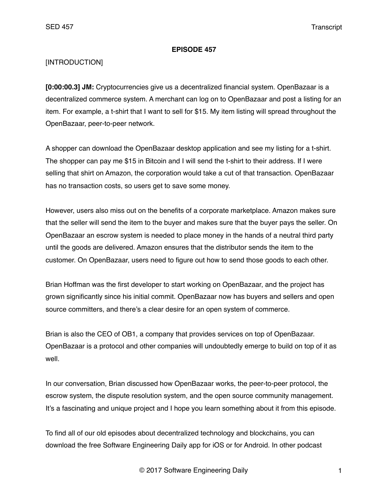#### **EPISODE 457**

## [INTRODUCTION]

**[0:00:00.3] JM:** Cryptocurrencies give us a decentralized financial system. OpenBazaar is a decentralized commerce system. A merchant can log on to OpenBazaar and post a listing for an item. For example, a t-shirt that I want to sell for \$15. My item listing will spread throughout the OpenBazaar, peer-to-peer network.

A shopper can download the OpenBazaar desktop application and see my listing for a t-shirt. The shopper can pay me \$15 in Bitcoin and I will send the t-shirt to their address. If I were selling that shirt on Amazon, the corporation would take a cut of that transaction. OpenBazaar has no transaction costs, so users get to save some money.

However, users also miss out on the benefits of a corporate marketplace. Amazon makes sure that the seller will send the item to the buyer and makes sure that the buyer pays the seller. On OpenBazaar an escrow system is needed to place money in the hands of a neutral third party until the goods are delivered. Amazon ensures that the distributor sends the item to the customer. On OpenBazaar, users need to figure out how to send those goods to each other.

Brian Hoffman was the first developer to start working on OpenBazaar, and the project has grown significantly since his initial commit. OpenBazaar now has buyers and sellers and open source committers, and there's a clear desire for an open system of commerce.

Brian is also the CEO of OB1, a company that provides services on top of OpenBazaar. OpenBazaar is a protocol and other companies will undoubtedly emerge to build on top of it as well.

In our conversation, Brian discussed how OpenBazaar works, the peer-to-peer protocol, the escrow system, the dispute resolution system, and the open source community management. It's a fascinating and unique project and I hope you learn something about it from this episode.

To find all of our old episodes about decentralized technology and blockchains, you can download the free Software Engineering Daily app for iOS or for Android. In other podcast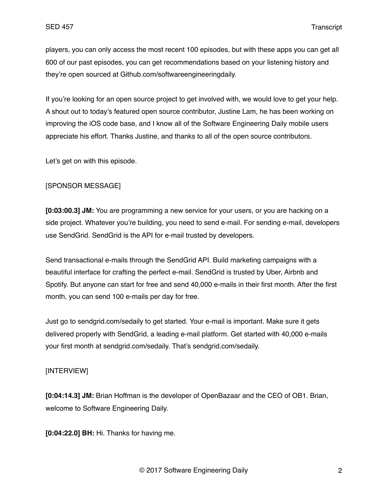players, you can only access the most recent 100 episodes, but with these apps you can get all 600 of our past episodes, you can get recommendations based on your listening history and they're open sourced at Github.com/softwareengineeringdaily.

If you're looking for an open source project to get involved with, we would love to get your help. A shout out to today's featured open source contributor, Justine Lam, he has been working on improving the iOS code base, and I know all of the Software Engineering Daily mobile users appreciate his effort. Thanks Justine, and thanks to all of the open source contributors.

Let's get on with this episode.

## [SPONSOR MESSAGE]

**[0:03:00.3] JM:** You are programming a new service for your users, or you are hacking on a side project. Whatever you're building, you need to send e-mail. For sending e-mail, developers use SendGrid. SendGrid is the API for e-mail trusted by developers.

Send transactional e-mails through the SendGrid API. Build marketing campaigns with a beautiful interface for crafting the perfect e-mail. SendGrid is trusted by Uber, Airbnb and Spotify. But anyone can start for free and send 40,000 e-mails in their first month. After the first month, you can send 100 e-mails per day for free.

Just go to sendgrid.com/sedaily to get started. Your e-mail is important. Make sure it gets delivered properly with SendGrid, a leading e-mail platform. Get started with 40,000 e-mails your first month at sendgrid.com/sedaily. That's sendgrid.com/sedaily.

#### [INTERVIEW]

**[0:04:14.3] JM:** Brian Hoffman is the developer of OpenBazaar and the CEO of OB1. Brian, welcome to Software Engineering Daily.

**[0:04:22.0] BH:** Hi. Thanks for having me.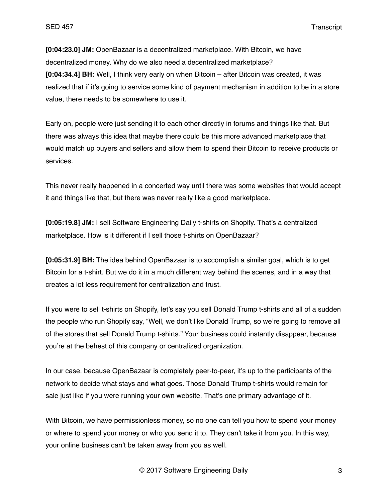**[0:04:23.0] JM:** OpenBazaar is a decentralized marketplace. With Bitcoin, we have decentralized money. Why do we also need a decentralized marketplace? **[0:04:34.4] BH:** Well, I think very early on when Bitcoin – after Bitcoin was created, it was realized that if it's going to service some kind of payment mechanism in addition to be in a store value, there needs to be somewhere to use it.

Early on, people were just sending it to each other directly in forums and things like that. But there was always this idea that maybe there could be this more advanced marketplace that would match up buyers and sellers and allow them to spend their Bitcoin to receive products or services.

This never really happened in a concerted way until there was some websites that would accept it and things like that, but there was never really like a good marketplace.

**[0:05:19.8] JM:** I sell Software Engineering Daily t-shirts on Shopify. That's a centralized marketplace. How is it different if I sell those t-shirts on OpenBazaar?

**[0:05:31.9] BH:** The idea behind OpenBazaar is to accomplish a similar goal, which is to get Bitcoin for a t-shirt. But we do it in a much different way behind the scenes, and in a way that creates a lot less requirement for centralization and trust.

If you were to sell t-shirts on Shopify, let's say you sell Donald Trump t-shirts and all of a sudden the people who run Shopify say, "Well, we don't like Donald Trump, so we're going to remove all of the stores that sell Donald Trump t-shirts." Your business could instantly disappear, because you're at the behest of this company or centralized organization.

In our case, because OpenBazaar is completely peer-to-peer, it's up to the participants of the network to decide what stays and what goes. Those Donald Trump t-shirts would remain for sale just like if you were running your own website. That's one primary advantage of it.

With Bitcoin, we have permissionless money, so no one can tell you how to spend your money or where to spend your money or who you send it to. They can't take it from you. In this way, your online business can't be taken away from you as well.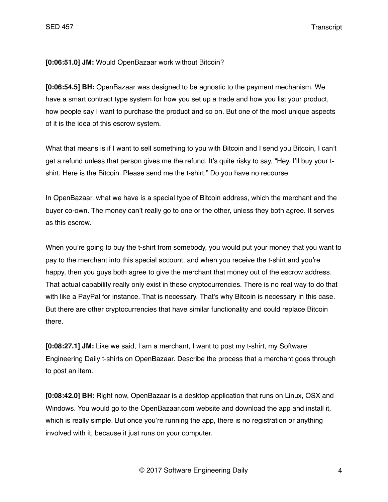**[0:06:51.0] JM:** Would OpenBazaar work without Bitcoin?

**[0:06:54.5] BH:** OpenBazaar was designed to be agnostic to the payment mechanism. We have a smart contract type system for how you set up a trade and how you list your product, how people say I want to purchase the product and so on. But one of the most unique aspects of it is the idea of this escrow system.

What that means is if I want to sell something to you with Bitcoin and I send you Bitcoin, I can't get a refund unless that person gives me the refund. It's quite risky to say, "Hey, I'll buy your tshirt. Here is the Bitcoin. Please send me the t-shirt." Do you have no recourse.

In OpenBazaar, what we have is a special type of Bitcoin address, which the merchant and the buyer co-own. The money can't really go to one or the other, unless they both agree. It serves as this escrow.

When you're going to buy the t-shirt from somebody, you would put your money that you want to pay to the merchant into this special account, and when you receive the t-shirt and you're happy, then you guys both agree to give the merchant that money out of the escrow address. That actual capability really only exist in these cryptocurrencies. There is no real way to do that with like a PayPal for instance. That is necessary. That's why Bitcoin is necessary in this case. But there are other cryptocurrencies that have similar functionality and could replace Bitcoin there.

**[0:08:27.1] JM:** Like we said, I am a merchant, I want to post my t-shirt, my Software Engineering Daily t-shirts on OpenBazaar. Describe the process that a merchant goes through to post an item.

**[0:08:42.0] BH:** Right now, OpenBazaar is a desktop application that runs on Linux, OSX and Windows. You would go to the OpenBazaar.com website and download the app and install it, which is really simple. But once you're running the app, there is no registration or anything involved with it, because it just runs on your computer.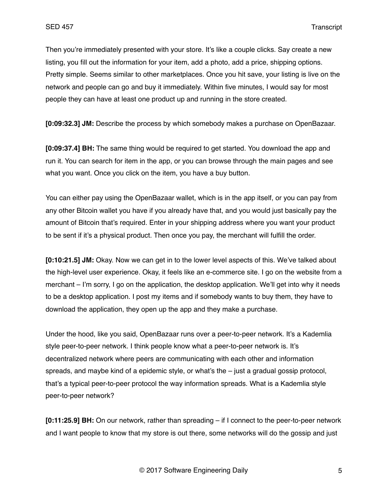Then you're immediately presented with your store. It's like a couple clicks. Say create a new listing, you fill out the information for your item, add a photo, add a price, shipping options. Pretty simple. Seems similar to other marketplaces. Once you hit save, your listing is live on the network and people can go and buy it immediately. Within five minutes, I would say for most people they can have at least one product up and running in the store created.

**[0:09:32.3] JM:** Describe the process by which somebody makes a purchase on OpenBazaar.

**[0:09:37.4] BH:** The same thing would be required to get started. You download the app and run it. You can search for item in the app, or you can browse through the main pages and see what you want. Once you click on the item, you have a buy button.

You can either pay using the OpenBazaar wallet, which is in the app itself, or you can pay from any other Bitcoin wallet you have if you already have that, and you would just basically pay the amount of Bitcoin that's required. Enter in your shipping address where you want your product to be sent if it's a physical product. Then once you pay, the merchant will fulfill the order.

**[0:10:21.5] JM:** Okay. Now we can get in to the lower level aspects of this. We've talked about the high-level user experience. Okay, it feels like an e-commerce site. I go on the website from a merchant – I'm sorry, I go on the application, the desktop application. We'll get into why it needs to be a desktop application. I post my items and if somebody wants to buy them, they have to download the application, they open up the app and they make a purchase.

Under the hood, like you said, OpenBazaar runs over a peer-to-peer network. It's a Kademlia style peer-to-peer network. I think people know what a peer-to-peer network is. It's decentralized network where peers are communicating with each other and information spreads, and maybe kind of a epidemic style, or what's the – just a gradual gossip protocol, that's a typical peer-to-peer protocol the way information spreads. What is a Kademlia style peer-to-peer network?

**[0:11:25.9] BH:** On our network, rather than spreading – if I connect to the peer-to-peer network and I want people to know that my store is out there, some networks will do the gossip and just

© 2017 Software Engineering Daily 5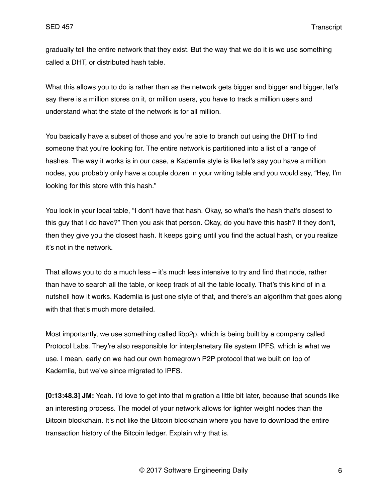gradually tell the entire network that they exist. But the way that we do it is we use something called a DHT, or distributed hash table.

What this allows you to do is rather than as the network gets bigger and bigger and bigger, let's say there is a million stores on it, or million users, you have to track a million users and understand what the state of the network is for all million.

You basically have a subset of those and you're able to branch out using the DHT to find someone that you're looking for. The entire network is partitioned into a list of a range of hashes. The way it works is in our case, a Kademlia style is like let's say you have a million nodes, you probably only have a couple dozen in your writing table and you would say, "Hey, I'm looking for this store with this hash."

You look in your local table, "I don't have that hash. Okay, so what's the hash that's closest to this guy that I do have?" Then you ask that person. Okay, do you have this hash? If they don't, then they give you the closest hash. It keeps going until you find the actual hash, or you realize it's not in the network.

That allows you to do a much less – it's much less intensive to try and find that node, rather than have to search all the table, or keep track of all the table locally. That's this kind of in a nutshell how it works. Kademlia is just one style of that, and there's an algorithm that goes along with that that's much more detailed.

Most importantly, we use something called libp2p, which is being built by a company called Protocol Labs. They're also responsible for interplanetary file system IPFS, which is what we use. I mean, early on we had our own homegrown P2P protocol that we built on top of Kademlia, but we've since migrated to IPFS.

**[0:13:48.3] JM:** Yeah. I'd love to get into that migration a little bit later, because that sounds like an interesting process. The model of your network allows for lighter weight nodes than the Bitcoin blockchain. It's not like the Bitcoin blockchain where you have to download the entire transaction history of the Bitcoin ledger. Explain why that is.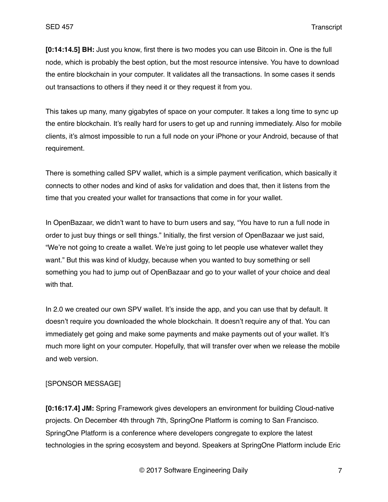**[0:14:14.5] BH:** Just you know, first there is two modes you can use Bitcoin in. One is the full node, which is probably the best option, but the most resource intensive. You have to download the entire blockchain in your computer. It validates all the transactions. In some cases it sends out transactions to others if they need it or they request it from you.

This takes up many, many gigabytes of space on your computer. It takes a long time to sync up the entire blockchain. It's really hard for users to get up and running immediately. Also for mobile clients, it's almost impossible to run a full node on your iPhone or your Android, because of that requirement.

There is something called SPV wallet, which is a simple payment verification, which basically it connects to other nodes and kind of asks for validation and does that, then it listens from the time that you created your wallet for transactions that come in for your wallet.

In OpenBazaar, we didn't want to have to burn users and say, "You have to run a full node in order to just buy things or sell things." Initially, the first version of OpenBazaar we just said, "We're not going to create a wallet. We're just going to let people use whatever wallet they want." But this was kind of kludgy, because when you wanted to buy something or sell something you had to jump out of OpenBazaar and go to your wallet of your choice and deal with that.

In 2.0 we created our own SPV wallet. It's inside the app, and you can use that by default. It doesn't require you downloaded the whole blockchain. It doesn't require any of that. You can immediately get going and make some payments and make payments out of your wallet. It's much more light on your computer. Hopefully, that will transfer over when we release the mobile and web version.

## [SPONSOR MESSAGE]

**[0:16:17.4] JM:** Spring Framework gives developers an environment for building Cloud-native projects. On December 4th through 7th, SpringOne Platform is coming to San Francisco. SpringOne Platform is a conference where developers congregate to explore the latest technologies in the spring ecosystem and beyond. Speakers at SpringOne Platform include Eric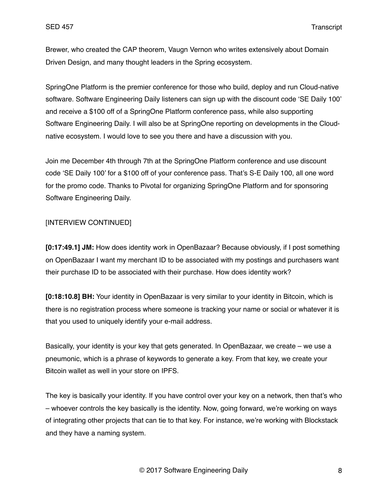Brewer, who created the CAP theorem, Vaugn Vernon who writes extensively about Domain Driven Design, and many thought leaders in the Spring ecosystem.

SpringOne Platform is the premier conference for those who build, deploy and run Cloud-native software. Software Engineering Daily listeners can sign up with the discount code 'SE Daily 100' and receive a \$100 off of a SpringOne Platform conference pass, while also supporting Software Engineering Daily. I will also be at SpringOne reporting on developments in the Cloudnative ecosystem. I would love to see you there and have a discussion with you.

Join me December 4th through 7th at the SpringOne Platform conference and use discount code 'SE Daily 100' for a \$100 off of your conference pass. That's S-E Daily 100, all one word for the promo code. Thanks to Pivotal for organizing SpringOne Platform and for sponsoring Software Engineering Daily.

## [INTERVIEW CONTINUED]

**[0:17:49.1] JM:** How does identity work in OpenBazaar? Because obviously, if I post something on OpenBazaar I want my merchant ID to be associated with my postings and purchasers want their purchase ID to be associated with their purchase. How does identity work?

**[0:18:10.8] BH:** Your identity in OpenBazaar is very similar to your identity in Bitcoin, which is there is no registration process where someone is tracking your name or social or whatever it is that you used to uniquely identify your e-mail address.

Basically, your identity is your key that gets generated. In OpenBazaar, we create – we use a pneumonic, which is a phrase of keywords to generate a key. From that key, we create your Bitcoin wallet as well in your store on IPFS.

The key is basically your identity. If you have control over your key on a network, then that's who – whoever controls the key basically is the identity. Now, going forward, we're working on ways of integrating other projects that can tie to that key. For instance, we're working with Blockstack and they have a naming system.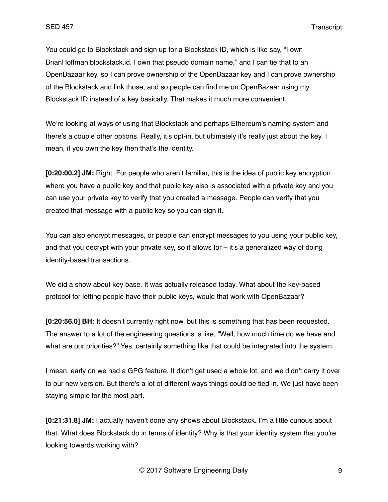You could go to Blockstack and sign up for a Blockstack ID, which is like say, "I own BrianHoffman.blockstack.id. I own that pseudo domain name," and I can tie that to an OpenBazaar key, so I can prove ownership of the OpenBazaar key and I can prove ownership of the Blockstack and link those, and so people can find me on OpenBazaar using my Blockstack ID instead of a key basically. That makes it much more convenient.

We're looking at ways of using that Blockstack and perhaps Ethereum's naming system and there's a couple other options. Really, it's opt-in, but ultimately it's really just about the key. I mean, if you own the key then that's the identity.

**[0:20:00.2] JM:** Right. For people who aren't familiar, this is the idea of public key encryption where you have a public key and that public key also is associated with a private key and you can use your private key to verify that you created a message. People can verify that you created that message with a public key so you can sign it.

You can also encrypt messages, or people can encrypt messages to you using your public key, and that you decrypt with your private key, so it allows for – it's a generalized way of doing identity-based transactions.

We did a show about key base. It was actually released today. What about the key-based protocol for letting people have their public keys, would that work with OpenBazaar?

**[0:20:56.0] BH:** It doesn't currently right now, but this is something that has been requested. The answer to a lot of the engineering questions is like, "Well, how much time do we have and what are our priorities?" Yes, certainly something like that could be integrated into the system.

I mean, early on we had a GPG feature. It didn't get used a whole lot, and we didn't carry it over to our new version. But there's a lot of different ways things could be tied in. We just have been staying simple for the most part.

**[0:21:31.8] JM:** I actually haven't done any shows about Blockstack. I'm a little curious about that. What does Blockstack do in terms of identity? Why is that your identity system that you're looking towards working with?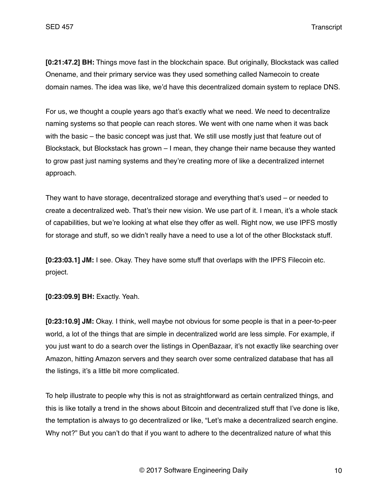**[0:21:47.2] BH:** Things move fast in the blockchain space. But originally, Blockstack was called Onename, and their primary service was they used something called Namecoin to create domain names. The idea was like, we'd have this decentralized domain system to replace DNS.

For us, we thought a couple years ago that's exactly what we need. We need to decentralize naming systems so that people can reach stores. We went with one name when it was back with the basic – the basic concept was just that. We still use mostly just that feature out of Blockstack, but Blockstack has grown – I mean, they change their name because they wanted to grow past just naming systems and they're creating more of like a decentralized internet approach.

They want to have storage, decentralized storage and everything that's used – or needed to create a decentralized web. That's their new vision. We use part of it. I mean, it's a whole stack of capabilities, but we're looking at what else they offer as well. Right now, we use IPFS mostly for storage and stuff, so we didn't really have a need to use a lot of the other Blockstack stuff.

**[0:23:03.1] JM:** I see. Okay. They have some stuff that overlaps with the IPFS Filecoin etc. project.

**[0:23:09.9] BH:** Exactly. Yeah.

**[0:23:10.9] JM:** Okay. I think, well maybe not obvious for some people is that in a peer-to-peer world, a lot of the things that are simple in decentralized world are less simple. For example, if you just want to do a search over the listings in OpenBazaar, it's not exactly like searching over Amazon, hitting Amazon servers and they search over some centralized database that has all the listings, it's a little bit more complicated.

To help illustrate to people why this is not as straightforward as certain centralized things, and this is like totally a trend in the shows about Bitcoin and decentralized stuff that I've done is like, the temptation is always to go decentralized or like, "Let's make a decentralized search engine. Why not?" But you can't do that if you want to adhere to the decentralized nature of what this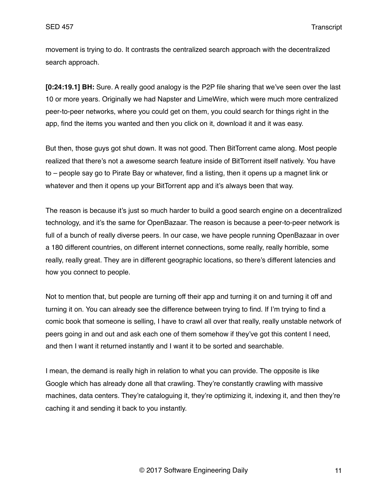movement is trying to do. It contrasts the centralized search approach with the decentralized search approach.

**[0:24:19.1] BH:** Sure. A really good analogy is the P2P file sharing that we've seen over the last 10 or more years. Originally we had Napster and LimeWire, which were much more centralized peer-to-peer networks, where you could get on them, you could search for things right in the app, find the items you wanted and then you click on it, download it and it was easy.

But then, those guys got shut down. It was not good. Then BitTorrent came along. Most people realized that there's not a awesome search feature inside of BitTorrent itself natively. You have to – people say go to Pirate Bay or whatever, find a listing, then it opens up a magnet link or whatever and then it opens up your BitTorrent app and it's always been that way.

The reason is because it's just so much harder to build a good search engine on a decentralized technology, and it's the same for OpenBazaar. The reason is because a peer-to-peer network is full of a bunch of really diverse peers. In our case, we have people running OpenBazaar in over a 180 different countries, on different internet connections, some really, really horrible, some really, really great. They are in different geographic locations, so there's different latencies and how you connect to people.

Not to mention that, but people are turning off their app and turning it on and turning it off and turning it on. You can already see the difference between trying to find. If I'm trying to find a comic book that someone is selling, I have to crawl all over that really, really unstable network of peers going in and out and ask each one of them somehow if they've got this content I need, and then I want it returned instantly and I want it to be sorted and searchable.

I mean, the demand is really high in relation to what you can provide. The opposite is like Google which has already done all that crawling. They're constantly crawling with massive machines, data centers. They're cataloguing it, they're optimizing it, indexing it, and then they're caching it and sending it back to you instantly.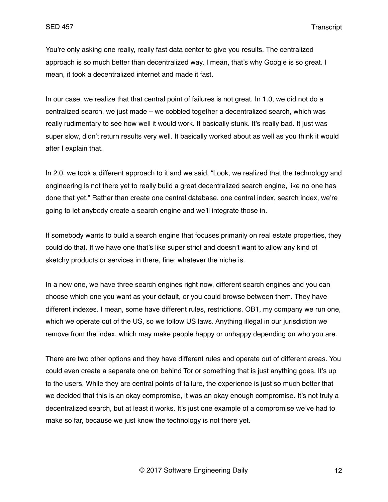You're only asking one really, really fast data center to give you results. The centralized approach is so much better than decentralized way. I mean, that's why Google is so great. I mean, it took a decentralized internet and made it fast.

In our case, we realize that that central point of failures is not great. In 1.0, we did not do a centralized search, we just made – we cobbled together a decentralized search, which was really rudimentary to see how well it would work. It basically stunk. It's really bad. It just was super slow, didn't return results very well. It basically worked about as well as you think it would after I explain that.

In 2.0, we took a different approach to it and we said, "Look, we realized that the technology and engineering is not there yet to really build a great decentralized search engine, like no one has done that yet." Rather than create one central database, one central index, search index, we're going to let anybody create a search engine and we'll integrate those in.

If somebody wants to build a search engine that focuses primarily on real estate properties, they could do that. If we have one that's like super strict and doesn't want to allow any kind of sketchy products or services in there, fine; whatever the niche is.

In a new one, we have three search engines right now, different search engines and you can choose which one you want as your default, or you could browse between them. They have different indexes. I mean, some have different rules, restrictions. OB1, my company we run one, which we operate out of the US, so we follow US laws. Anything illegal in our jurisdiction we remove from the index, which may make people happy or unhappy depending on who you are.

There are two other options and they have different rules and operate out of different areas. You could even create a separate one on behind Tor or something that is just anything goes. It's up to the users. While they are central points of failure, the experience is just so much better that we decided that this is an okay compromise, it was an okay enough compromise. It's not truly a decentralized search, but at least it works. It's just one example of a compromise we've had to make so far, because we just know the technology is not there yet.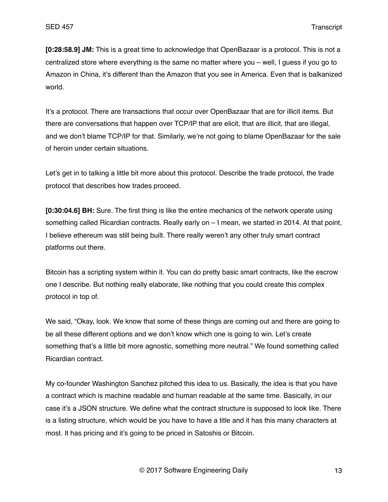**[0:28:58.9] JM:** This is a great time to acknowledge that OpenBazaar is a protocol. This is not a centralized store where everything is the same no matter where you – well, I guess if you go to Amazon in China, it's different than the Amazon that you see in America. Even that is balkanized world.

It's a protocol. There are transactions that occur over OpenBazaar that are for illicit items. But there are conversations that happen over TCP/IP that are elicit, that are illicit, that are illegal, and we don't blame TCP/IP for that. Similarly, we're not going to blame OpenBazaar for the sale of heroin under certain situations.

Let's get in to talking a little bit more about this protocol. Describe the trade protocol, the trade protocol that describes how trades proceed.

**[0:30:04.6] BH:** Sure. The first thing is like the entire mechanics of the network operate using something called Ricardian contracts. Really early on – I mean, we started in 2014. At that point, I believe ethereum was still being built. There really weren't any other truly smart contract platforms out there.

Bitcoin has a scripting system within it. You can do pretty basic smart contracts, like the escrow one I describe. But nothing really elaborate, like nothing that you could create this complex protocol in top of.

We said, "Okay, look. We know that some of these things are coming out and there are going to be all these different options and we don't know which one is going to win. Let's create something that's a little bit more agnostic, something more neutral." We found something called Ricardian contract.

My co-founder Washington Sanchez pitched this idea to us. Basically, the idea is that you have a contract which is machine readable and human readable at the same time. Basically, in our case it's a JSON structure. We define what the contract structure is supposed to look like. There is a listing structure, which would be you have to have a title and it has this many characters at most. It has pricing and it's going to be priced in Satoshis or Bitcoin.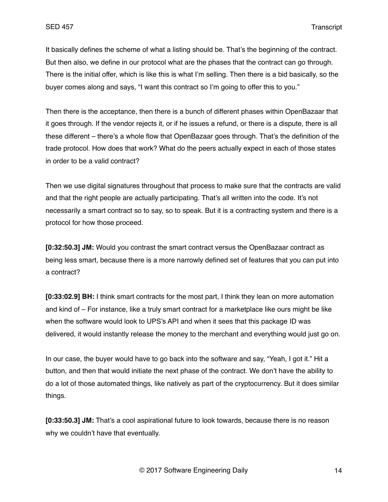It basically defines the scheme of what a listing should be. That's the beginning of the contract. But then also, we define in our protocol what are the phases that the contract can go through. There is the initial offer, which is like this is what I'm selling. Then there is a bid basically, so the buyer comes along and says, "I want this contract so I'm going to offer this to you."

Then there is the acceptance, then there is a bunch of different phases within OpenBazaar that it goes through. If the vendor rejects it, or if he issues a refund, or there is a dispute, there is all these different – there's a whole flow that OpenBazaar goes through. That's the definition of the trade protocol. How does that work? What do the peers actually expect in each of those states in order to be a valid contract?

Then we use digital signatures throughout that process to make sure that the contracts are valid and that the right people are actually participating. That's all written into the code. It's not necessarily a smart contract so to say, so to speak. But it is a contracting system and there is a protocol for how those proceed.

**[0:32:50.3] JM:** Would you contrast the smart contract versus the OpenBazaar contract as being less smart, because there is a more narrowly defined set of features that you can put into a contract?

**[0:33:02.9] BH:** I think smart contracts for the most part, I think they lean on more automation and kind of – For instance, like a truly smart contract for a marketplace like ours might be like when the software would look to UPS's API and when it sees that this package ID was delivered, it would instantly release the money to the merchant and everything would just go on.

In our case, the buyer would have to go back into the software and say, "Yeah, I got it." Hit a button, and then that would initiate the next phase of the contract. We don't have the ability to do a lot of those automated things, like natively as part of the cryptocurrency. But it does similar things.

**[0:33:50.3] JM:** That's a cool aspirational future to look towards, because there is no reason why we couldn't have that eventually.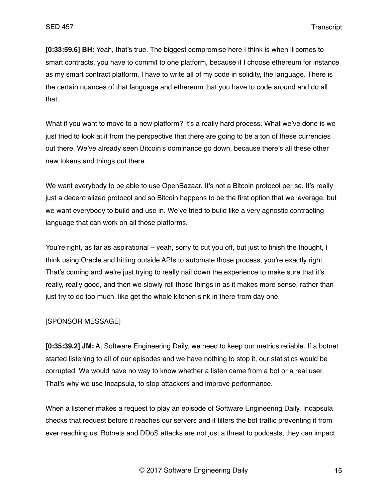**[0:33:59.6] BH:** Yeah, that's true. The biggest compromise here I think is when it comes to smart contracts, you have to commit to one platform, because if I choose ethereum for instance as my smart contract platform, I have to write all of my code in solidity, the language. There is the certain nuances of that language and ethereum that you have to code around and do all that.

What if you want to move to a new platform? It's a really hard process. What we've done is we just tried to look at it from the perspective that there are going to be a ton of these currencies out there. We've already seen Bitcoin's dominance go down, because there's all these other new tokens and things out there.

We want everybody to be able to use OpenBazaar. It's not a Bitcoin protocol per se. It's really just a decentralized protocol and so Bitcoin happens to be the first option that we leverage, but we want everybody to build and use in. We've tried to build like a very agnostic contracting language that can work on all those platforms.

You're right, as far as aspirational – yeah, sorry to cut you off, but just to finish the thought, I think using Oracle and hitting outside APIs to automate those process, you're exactly right. That's coming and we're just trying to really nail down the experience to make sure that it's really, really good, and then we slowly roll those things in as it makes more sense, rather than just try to do too much, like get the whole kitchen sink in there from day one.

#### [SPONSOR MESSAGE]

**[0:35:39.2] JM:** At Software Engineering Daily, we need to keep our metrics reliable. If a botnet started listening to all of our episodes and we have nothing to stop it, our statistics would be corrupted. We would have no way to know whether a listen came from a bot or a real user. That's why we use Incapsula, to stop attackers and improve performance.

When a listener makes a request to play an episode of Software Engineering Daily, Incapsula checks that request before it reaches our servers and it filters the bot traffic preventing it from ever reaching us. Botnets and DDoS attacks are not just a threat to podcasts, they can impact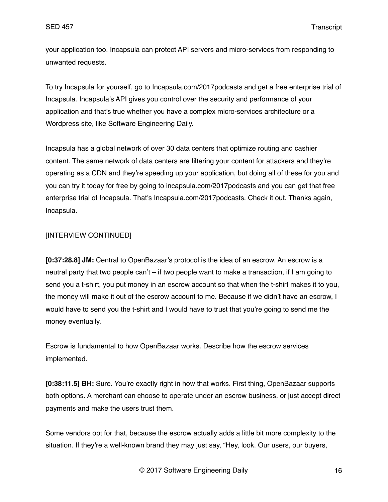your application too. Incapsula can protect API servers and micro-services from responding to unwanted requests.

To try Incapsula for yourself, go to Incapsula.com/2017podcasts and get a free enterprise trial of Incapsula. Incapsula's API gives you control over the security and performance of your application and that's true whether you have a complex micro-services architecture or a Wordpress site, like Software Engineering Daily.

Incapsula has a global network of over 30 data centers that optimize routing and cashier content. The same network of data centers are filtering your content for attackers and they're operating as a CDN and they're speeding up your application, but doing all of these for you and you can try it today for free by going to incapsula.com/2017podcasts and you can get that free enterprise trial of Incapsula. That's Incapsula.com/2017podcasts. Check it out. Thanks again, Incapsula.

# [INTERVIEW CONTINUED]

**[0:37:28.8] JM:** Central to OpenBazaar's protocol is the idea of an escrow. An escrow is a neutral party that two people can't – if two people want to make a transaction, if I am going to send you a t-shirt, you put money in an escrow account so that when the t-shirt makes it to you, the money will make it out of the escrow account to me. Because if we didn't have an escrow, I would have to send you the t-shirt and I would have to trust that you're going to send me the money eventually.

Escrow is fundamental to how OpenBazaar works. Describe how the escrow services implemented.

**[0:38:11.5] BH:** Sure. You're exactly right in how that works. First thing, OpenBazaar supports both options. A merchant can choose to operate under an escrow business, or just accept direct payments and make the users trust them.

Some vendors opt for that, because the escrow actually adds a little bit more complexity to the situation. If they're a well-known brand they may just say, "Hey, look. Our users, our buyers,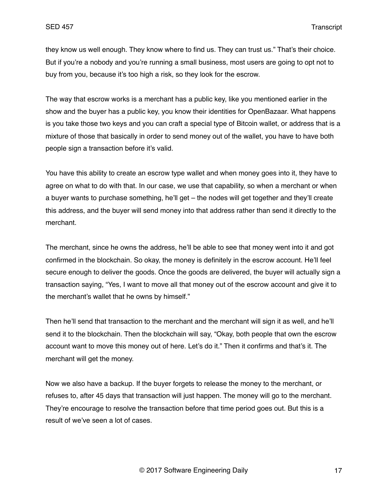they know us well enough. They know where to find us. They can trust us." That's their choice. But if you're a nobody and you're running a small business, most users are going to opt not to buy from you, because it's too high a risk, so they look for the escrow.

The way that escrow works is a merchant has a public key, like you mentioned earlier in the show and the buyer has a public key, you know their identities for OpenBazaar. What happens is you take those two keys and you can craft a special type of Bitcoin wallet, or address that is a mixture of those that basically in order to send money out of the wallet, you have to have both people sign a transaction before it's valid.

You have this ability to create an escrow type wallet and when money goes into it, they have to agree on what to do with that. In our case, we use that capability, so when a merchant or when a buyer wants to purchase something, he'll get – the nodes will get together and they'll create this address, and the buyer will send money into that address rather than send it directly to the merchant.

The merchant, since he owns the address, he'll be able to see that money went into it and got confirmed in the blockchain. So okay, the money is definitely in the escrow account. He'll feel secure enough to deliver the goods. Once the goods are delivered, the buyer will actually sign a transaction saying, "Yes, I want to move all that money out of the escrow account and give it to the merchant's wallet that he owns by himself."

Then he'll send that transaction to the merchant and the merchant will sign it as well, and he'll send it to the blockchain. Then the blockchain will say, "Okay, both people that own the escrow account want to move this money out of here. Let's do it." Then it confirms and that's it. The merchant will get the money.

Now we also have a backup. If the buyer forgets to release the money to the merchant, or refuses to, after 45 days that transaction will just happen. The money will go to the merchant. They're encourage to resolve the transaction before that time period goes out. But this is a result of we've seen a lot of cases.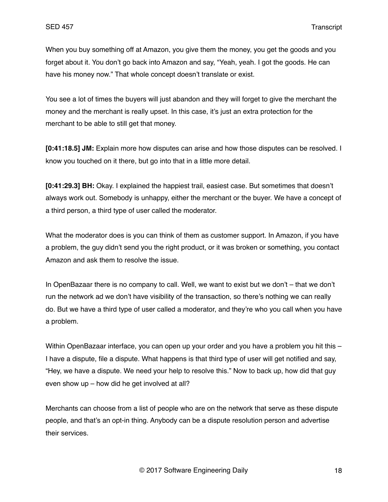When you buy something off at Amazon, you give them the money, you get the goods and you forget about it. You don't go back into Amazon and say, "Yeah, yeah. I got the goods. He can have his money now." That whole concept doesn't translate or exist.

You see a lot of times the buyers will just abandon and they will forget to give the merchant the money and the merchant is really upset. In this case, it's just an extra protection for the merchant to be able to still get that money.

**[0:41:18.5] JM:** Explain more how disputes can arise and how those disputes can be resolved. I know you touched on it there, but go into that in a little more detail.

**[0:41:29.3] BH:** Okay. I explained the happiest trail, easiest case. But sometimes that doesn't always work out. Somebody is unhappy, either the merchant or the buyer. We have a concept of a third person, a third type of user called the moderator.

What the moderator does is you can think of them as customer support. In Amazon, if you have a problem, the guy didn't send you the right product, or it was broken or something, you contact Amazon and ask them to resolve the issue.

In OpenBazaar there is no company to call. Well, we want to exist but we don't – that we don't run the network ad we don't have visibility of the transaction, so there's nothing we can really do. But we have a third type of user called a moderator, and they're who you call when you have a problem.

Within OpenBazaar interface, you can open up your order and you have a problem you hit this – I have a dispute, file a dispute. What happens is that third type of user will get notified and say, "Hey, we have a dispute. We need your help to resolve this." Now to back up, how did that guy even show up – how did he get involved at all?

Merchants can choose from a list of people who are on the network that serve as these dispute people, and that's an opt-in thing. Anybody can be a dispute resolution person and advertise their services.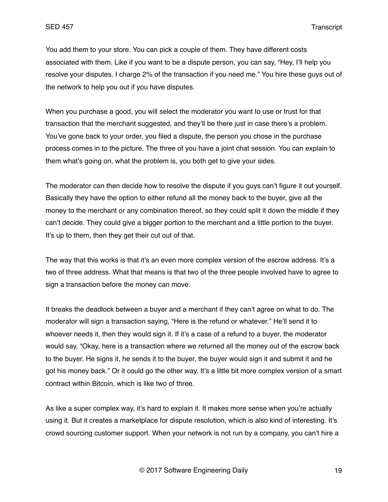You add them to your store. You can pick a couple of them. They have different costs associated with them. Like if you want to be a dispute person, you can say, "Hey, I'll help you resolve your disputes. I charge 2% of the transaction if you need me." You hire these guys out of the network to help you out if you have disputes.

When you purchase a good, you will select the moderator you want to use or trust for that transaction that the merchant suggested, and they'll be there just in case there's a problem. You've gone back to your order, you filed a dispute, the person you chose in the purchase process comes in to the picture. The three of you have a joint chat session. You can explain to them what's going on, what the problem is, you both get to give your sides.

The moderator can then decide how to resolve the dispute if you guys can't figure it out yourself. Basically they have the option to either refund all the money back to the buyer, give all the money to the merchant or any combination thereof, so they could split it down the middle if they can't decide. They could give a bigger portion to the merchant and a little portion to the buyer. It's up to them, then they get their cut out of that.

The way that this works is that it's an even more complex version of the escrow address. It's a two of three address. What that means is that two of the three people involved have to agree to sign a transaction before the money can move.

It breaks the deadlock between a buyer and a merchant if they can't agree on what to do. The moderator will sign a transaction saying, "Here is the refund or whatever." He'll send it to whoever needs it, then they would sign it. If it's a case of a refund to a buyer, the moderator would say, "Okay, here is a transaction where we returned all the money out of the escrow back to the buyer. He signs it, he sends it to the buyer, the buyer would sign it and submit it and he got his money back." Or it could go the other way. It's a little bit more complex version of a smart contract within Bitcoin, which is like two of three.

As like a super complex way, it's hard to explain it. It makes more sense when you're actually using it. But it creates a marketplace for dispute resolution, which is also kind of interesting. It's crowd sourcing customer support. When your network is not run by a company, you can't hire a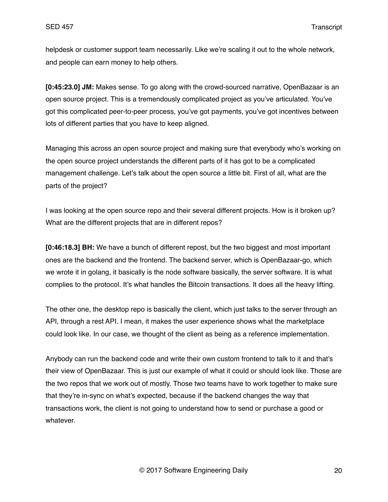helpdesk or customer support team necessarily. Like we're scaling it out to the whole network, and people can earn money to help others.

**[0:45:23.0] JM:** Makes sense. To go along with the crowd-sourced narrative, OpenBazaar is an open source project. This is a tremendously complicated project as you've articulated. You've got this complicated peer-to-peer process, you've got payments, you've got incentives between lots of different parties that you have to keep aligned.

Managing this across an open source project and making sure that everybody who's working on the open source project understands the different parts of it has got to be a complicated management challenge. Let's talk about the open source a little bit. First of all, what are the parts of the project?

I was looking at the open source repo and their several different projects. How is it broken up? What are the different projects that are in different repos?

**[0:46:18.3] BH:** We have a bunch of different repost, but the two biggest and most important ones are the backend and the frontend. The backend server, which is OpenBazaar-go, which we wrote it in golang, it basically is the node software basically, the server software. It is what complies to the protocol. It's what handles the Bitcoin transactions. It does all the heavy lifting.

The other one, the desktop repo is basically the client, which just talks to the server through an API, through a rest API. I mean, it makes the user experience shows what the marketplace could look like. In our case, we thought of the client as being as a reference implementation.

Anybody can run the backend code and write their own custom frontend to talk to it and that's their view of OpenBazaar. This is just our example of what it could or should look like. Those are the two repos that we work out of mostly. Those two teams have to work together to make sure that they're in-sync on what's expected, because if the backend changes the way that transactions work, the client is not going to understand how to send or purchase a good or whatever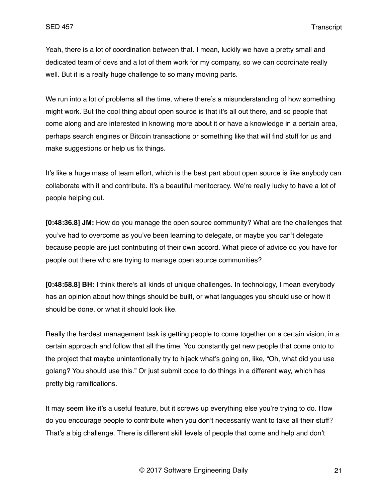Yeah, there is a lot of coordination between that. I mean, luckily we have a pretty small and dedicated team of devs and a lot of them work for my company, so we can coordinate really well. But it is a really huge challenge to so many moving parts.

We run into a lot of problems all the time, where there's a misunderstanding of how something might work. But the cool thing about open source is that it's all out there, and so people that come along and are interested in knowing more about it or have a knowledge in a certain area, perhaps search engines or Bitcoin transactions or something like that will find stuff for us and make suggestions or help us fix things.

It's like a huge mass of team effort, which is the best part about open source is like anybody can collaborate with it and contribute. It's a beautiful meritocracy. We're really lucky to have a lot of people helping out.

**[0:48:36.8] JM:** How do you manage the open source community? What are the challenges that you've had to overcome as you've been learning to delegate, or maybe you can't delegate because people are just contributing of their own accord. What piece of advice do you have for people out there who are trying to manage open source communities?

**[0:48:58.8] BH:** I think there's all kinds of unique challenges. In technology, I mean everybody has an opinion about how things should be built, or what languages you should use or how it should be done, or what it should look like.

Really the hardest management task is getting people to come together on a certain vision, in a certain approach and follow that all the time. You constantly get new people that come onto to the project that maybe unintentionally try to hijack what's going on, like, "Oh, what did you use golang? You should use this." Or just submit code to do things in a different way, which has pretty big ramifications.

It may seem like it's a useful feature, but it screws up everything else you're trying to do. How do you encourage people to contribute when you don't necessarily want to take all their stuff? That's a big challenge. There is different skill levels of people that come and help and don't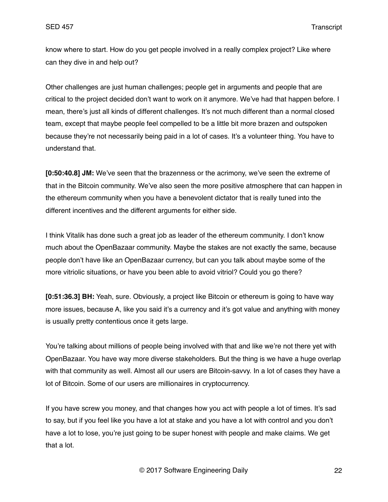know where to start. How do you get people involved in a really complex project? Like where can they dive in and help out?

Other challenges are just human challenges; people get in arguments and people that are critical to the project decided don't want to work on it anymore. We've had that happen before. I mean, there's just all kinds of different challenges. It's not much different than a normal closed team, except that maybe people feel compelled to be a little bit more brazen and outspoken because they're not necessarily being paid in a lot of cases. It's a volunteer thing. You have to understand that.

**[0:50:40.8] JM:** We've seen that the brazenness or the acrimony, we've seen the extreme of that in the Bitcoin community. We've also seen the more positive atmosphere that can happen in the ethereum community when you have a benevolent dictator that is really tuned into the different incentives and the different arguments for either side.

I think Vitalik has done such a great job as leader of the ethereum community. I don't know much about the OpenBazaar community. Maybe the stakes are not exactly the same, because people don't have like an OpenBazaar currency, but can you talk about maybe some of the more vitriolic situations, or have you been able to avoid vitriol? Could you go there?

**[0:51:36.3] BH:** Yeah, sure. Obviously, a project like Bitcoin or ethereum is going to have way more issues, because A, like you said it's a currency and it's got value and anything with money is usually pretty contentious once it gets large.

You're talking about millions of people being involved with that and like we're not there yet with OpenBazaar. You have way more diverse stakeholders. But the thing is we have a huge overlap with that community as well. Almost all our users are Bitcoin-savvy. In a lot of cases they have a lot of Bitcoin. Some of our users are millionaires in cryptocurrency.

If you have screw you money, and that changes how you act with people a lot of times. It's sad to say, but if you feel like you have a lot at stake and you have a lot with control and you don't have a lot to lose, you're just going to be super honest with people and make claims. We get that a lot.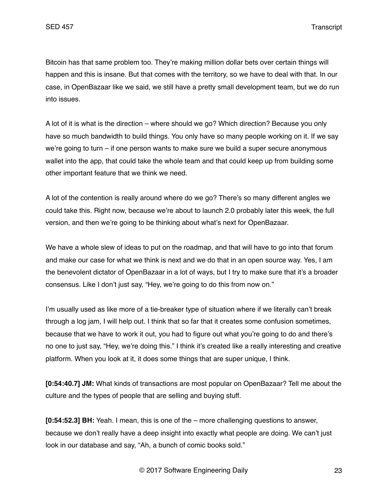Bitcoin has that same problem too. They're making million dollar bets over certain things will happen and this is insane. But that comes with the territory, so we have to deal with that. In our case, in OpenBazaar like we said, we still have a pretty small development team, but we do run into issues.

A lot of it is what is the direction – where should we go? Which direction? Because you only have so much bandwidth to build things. You only have so many people working on it. If we say we're going to turn – if one person wants to make sure we build a super secure anonymous wallet into the app, that could take the whole team and that could keep up from building some other important feature that we think we need.

A lot of the contention is really around where do we go? There's so many different angles we could take this. Right now, because we're about to launch 2.0 probably later this week, the full version, and then we're going to be thinking about what's next for OpenBazaar.

We have a whole slew of ideas to put on the roadmap, and that will have to go into that forum and make our case for what we think is next and we do that in an open source way. Yes, I am the benevolent dictator of OpenBazaar in a lot of ways, but I try to make sure that it's a broader consensus. Like I don't just say, "Hey, we're going to do this from now on."

I'm usually used as like more of a tie-breaker type of situation where if we literally can't break through a log jam, I will help out. I think that so far that it creates some confusion sometimes, because that we have to work it out, you had to figure out what you're going to do and there's no one to just say, "Hey, we're doing this." I think it's created like a really interesting and creative platform. When you look at it, it does some things that are super unique, I think.

**[0:54:40.7] JM:** What kinds of transactions are most popular on OpenBazaar? Tell me about the culture and the types of people that are selling and buying stuff.

**[0:54:52.3] BH:** Yeah. I mean, this is one of the – more challenging questions to answer, because we don't really have a deep insight into exactly what people are doing. We can't just look in our database and say, "Ah, a bunch of comic books sold."

© 2017 Software Engineering Daily 23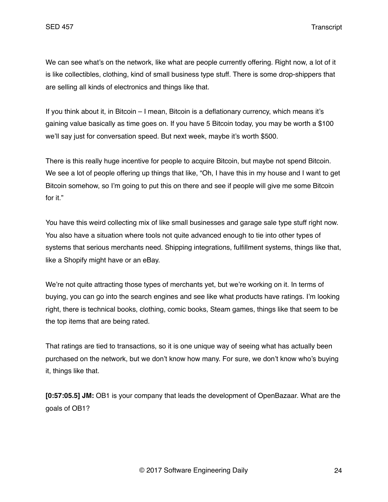We can see what's on the network, like what are people currently offering. Right now, a lot of it is like collectibles, clothing, kind of small business type stuff. There is some drop-shippers that are selling all kinds of electronics and things like that.

If you think about it, in Bitcoin – I mean, Bitcoin is a deflationary currency, which means it's gaining value basically as time goes on. If you have 5 Bitcoin today, you may be worth a \$100 we'll say just for conversation speed. But next week, maybe it's worth \$500.

There is this really huge incentive for people to acquire Bitcoin, but maybe not spend Bitcoin. We see a lot of people offering up things that like, "Oh, I have this in my house and I want to get Bitcoin somehow, so I'm going to put this on there and see if people will give me some Bitcoin for it."

You have this weird collecting mix of like small businesses and garage sale type stuff right now. You also have a situation where tools not quite advanced enough to tie into other types of systems that serious merchants need. Shipping integrations, fulfillment systems, things like that, like a Shopify might have or an eBay.

We're not quite attracting those types of merchants yet, but we're working on it. In terms of buying, you can go into the search engines and see like what products have ratings. I'm looking right, there is technical books, clothing, comic books, Steam games, things like that seem to be the top items that are being rated.

That ratings are tied to transactions, so it is one unique way of seeing what has actually been purchased on the network, but we don't know how many. For sure, we don't know who's buying it, things like that.

**[0:57:05.5] JM:** OB1 is your company that leads the development of OpenBazaar. What are the goals of OB1?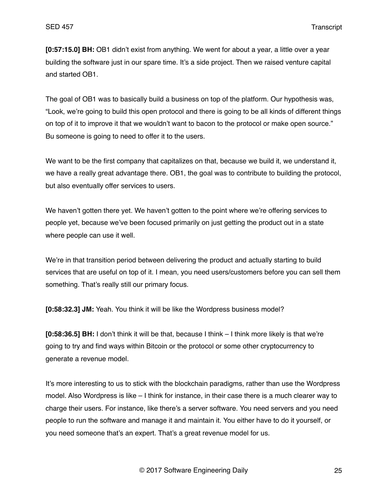**[0:57:15.0] BH:** OB1 didn't exist from anything. We went for about a year, a little over a year building the software just in our spare time. It's a side project. Then we raised venture capital and started OB1.

The goal of OB1 was to basically build a business on top of the platform. Our hypothesis was, "Look, we're going to build this open protocol and there is going to be all kinds of different things on top of it to improve it that we wouldn't want to bacon to the protocol or make open source." Bu someone is going to need to offer it to the users.

We want to be the first company that capitalizes on that, because we build it, we understand it, we have a really great advantage there. OB1, the goal was to contribute to building the protocol, but also eventually offer services to users.

We haven't gotten there yet. We haven't gotten to the point where we're offering services to people yet, because we've been focused primarily on just getting the product out in a state where people can use it well.

We're in that transition period between delivering the product and actually starting to build services that are useful on top of it. I mean, you need users/customers before you can sell them something. That's really still our primary focus.

**[0:58:32.3] JM:** Yeah. You think it will be like the Wordpress business model?

**[0:58:36.5] BH:** I don't think it will be that, because I think – I think more likely is that we're going to try and find ways within Bitcoin or the protocol or some other cryptocurrency to generate a revenue model.

It's more interesting to us to stick with the blockchain paradigms, rather than use the Wordpress model. Also Wordpress is like – I think for instance, in their case there is a much clearer way to charge their users. For instance, like there's a server software. You need servers and you need people to run the software and manage it and maintain it. You either have to do it yourself, or you need someone that's an expert. That's a great revenue model for us.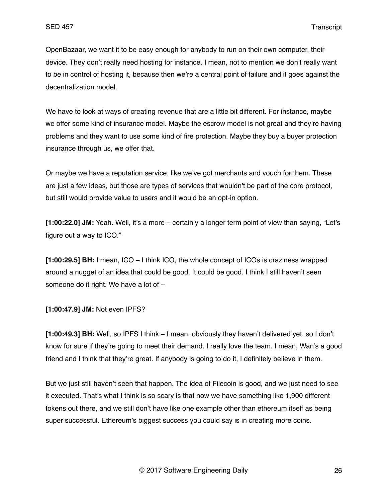OpenBazaar, we want it to be easy enough for anybody to run on their own computer, their device. They don't really need hosting for instance. I mean, not to mention we don't really want to be in control of hosting it, because then we're a central point of failure and it goes against the decentralization model.

We have to look at ways of creating revenue that are a little bit different. For instance, maybe we offer some kind of insurance model. Maybe the escrow model is not great and they're having problems and they want to use some kind of fire protection. Maybe they buy a buyer protection insurance through us, we offer that.

Or maybe we have a reputation service, like we've got merchants and vouch for them. These are just a few ideas, but those are types of services that wouldn't be part of the core protocol, but still would provide value to users and it would be an opt-in option.

**[1:00:22.0] JM:** Yeah. Well, it's a more – certainly a longer term point of view than saying, "Let's figure out a way to ICO."

**[1:00:29.5] BH:** I mean, ICO – I think ICO, the whole concept of ICOs is craziness wrapped around a nugget of an idea that could be good. It could be good. I think I still haven't seen someone do it right. We have a lot of –

**[1:00:47.9] JM:** Not even IPFS?

**[1:00:49.3] BH:** Well, so IPFS I think – I mean, obviously they haven't delivered yet, so I don't know for sure if they're going to meet their demand. I really love the team. I mean, Wan's a good friend and I think that they're great. If anybody is going to do it, I definitely believe in them.

But we just still haven't seen that happen. The idea of Filecoin is good, and we just need to see it executed. That's what I think is so scary is that now we have something like 1,900 different tokens out there, and we still don't have like one example other than ethereum itself as being super successful. Ethereum's biggest success you could say is in creating more coins.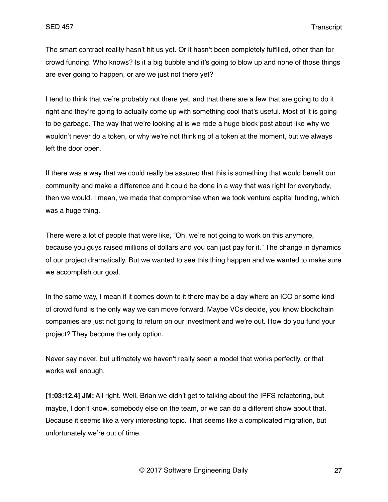The smart contract reality hasn't hit us yet. Or it hasn't been completely fulfilled, other than for crowd funding. Who knows? Is it a big bubble and it's going to blow up and none of those things are ever going to happen, or are we just not there yet?

I tend to think that we're probably not there yet, and that there are a few that are going to do it right and they're going to actually come up with something cool that's useful. Most of it is going to be garbage. The way that we're looking at is we rode a huge block post about like why we wouldn't never do a token, or why we're not thinking of a token at the moment, but we always left the door open.

If there was a way that we could really be assured that this is something that would benefit our community and make a difference and it could be done in a way that was right for everybody, then we would. I mean, we made that compromise when we took venture capital funding, which was a huge thing.

There were a lot of people that were like, "Oh, we're not going to work on this anymore, because you guys raised millions of dollars and you can just pay for it." The change in dynamics of our project dramatically. But we wanted to see this thing happen and we wanted to make sure we accomplish our goal.

In the same way, I mean if it comes down to it there may be a day where an ICO or some kind of crowd fund is the only way we can move forward. Maybe VCs decide, you know blockchain companies are just not going to return on our investment and we're out. How do you fund your project? They become the only option.

Never say never, but ultimately we haven't really seen a model that works perfectly, or that works well enough.

**[1:03:12.4] JM:** All right. Well, Brian we didn't get to talking about the IPFS refactoring, but maybe, I don't know, somebody else on the team, or we can do a different show about that. Because it seems like a very interesting topic. That seems like a complicated migration, but unfortunately we're out of time.